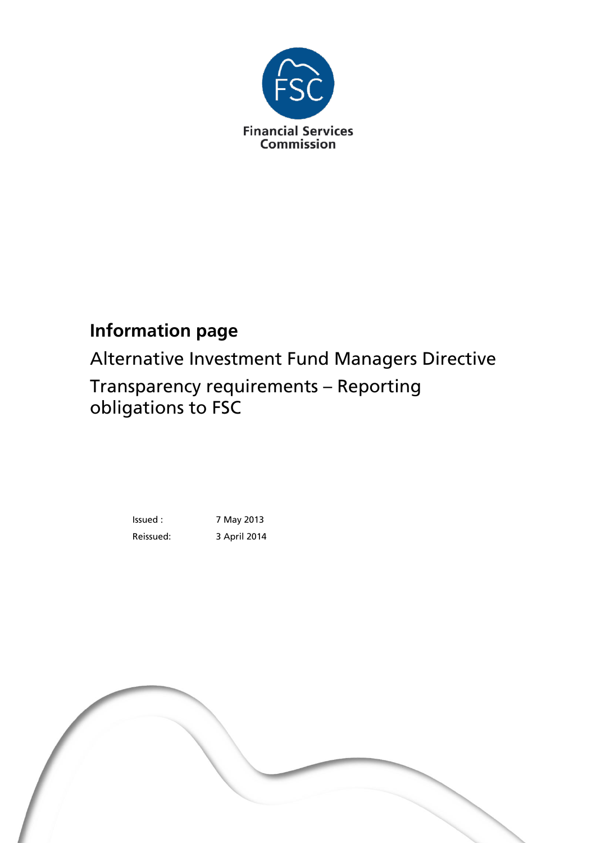

# **Information page**

Alternative Investment Fund Managers Directive

Transparency requirements – Reporting obligations to FSC

> Issued : 7 May 2013 Reissued: 3 April 2014

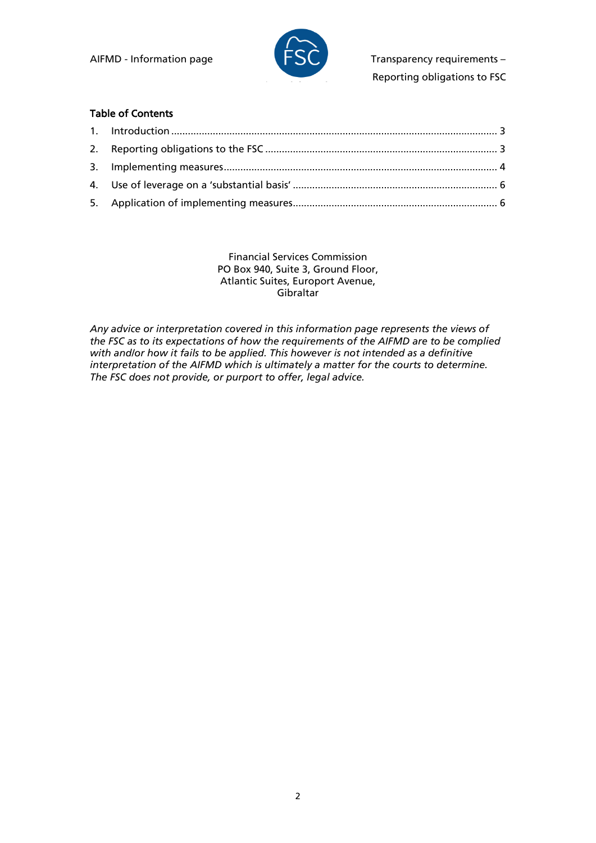

AIFMD - Information page  $\Box$   $\Box$  Transparency requirements – Reporting obligations to FSC

#### Table of Contents

Financial Services Commission PO Box 940, Suite 3, Ground Floor, Atlantic Suites, Europort Avenue, Gibraltar

*Any advice or interpretation covered in this information page represents the views of the FSC as to its expectations of how the requirements of the AIFMD are to be complied with and/or how it fails to be applied. This however is not intended as a definitive interpretation of the AIFMD which is ultimately a matter for the courts to determine. The FSC does not provide, or purport to offer, legal advice.*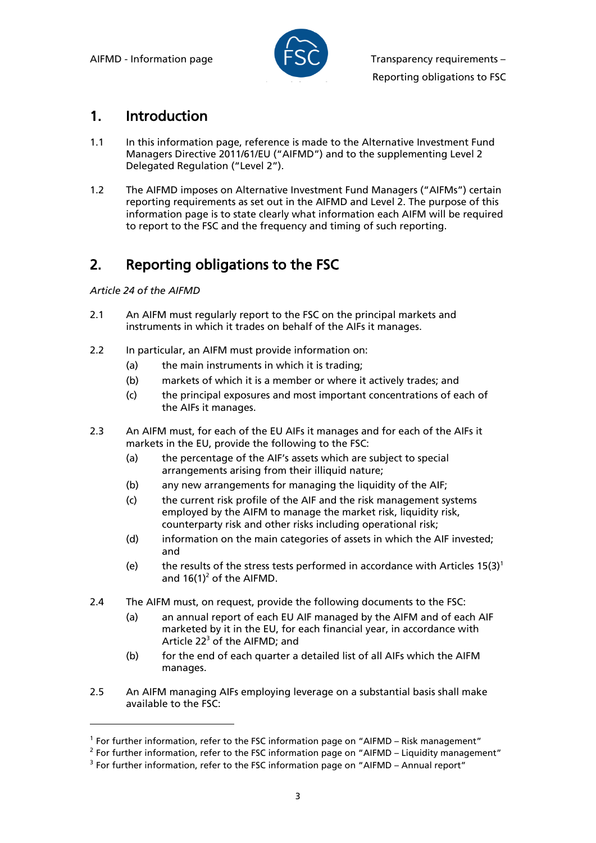

#### 1. Introduction

- 1.1 In this information page, reference is made to the Alternative Investment Fund Managers Directive 2011/61/EU ("AIFMD") and to the supplementing Level 2 Delegated Regulation ("Level 2").
- 1.2 The AIFMD imposes on Alternative Investment Fund Managers ("AIFMs") certain reporting requirements as set out in the AIFMD and Level 2. The purpose of this information page is to state clearly what information each AIFM will be required to report to the FSC and the frequency and timing of such reporting.

## 2. Reporting obligations to the FSC

*Article 24 of the AIFMD*

l

- 2.1 An AIFM must regularly report to the FSC on the principal markets and instruments in which it trades on behalf of the AIFs it manages.
- 2.2 In particular, an AIFM must provide information on:
	- (a) the main instruments in which it is trading;
	- (b) markets of which it is a member or where it actively trades; and
	- (c) the principal exposures and most important concentrations of each of the AIFs it manages.
- 2.3 An AIFM must, for each of the EU AIFs it manages and for each of the AIFs it markets in the EU, provide the following to the FSC:
	- (a) the percentage of the AIF's assets which are subject to special arrangements arising from their illiquid nature;
	- (b) any new arrangements for managing the liquidity of the AIF;
	- (c) the current risk profile of the AIF and the risk management systems employed by the AIFM to manage the market risk, liquidity risk, counterparty risk and other risks including operational risk;
	- (d) information on the main categories of assets in which the AIF invested; and
	- (e) the results of the stress tests performed in accordance with Articles  $15(3)^1$ and  $16(1)^2$  of the AIFMD.
- 2.4 The AIFM must, on request, provide the following documents to the FSC:
	- (a) an annual report of each EU AIF managed by the AIFM and of each AIF marketed by it in the EU, for each financial year, in accordance with Article 22<sup>3</sup> of the AIFMD; and
	- (b) for the end of each quarter a detailed list of all AIFs which the AIFM manages.
- 2.5 An AIFM managing AIFs employing leverage on a substantial basis shall make available to the FSC:

<sup>&</sup>lt;sup>1</sup> For further information, refer to the FSC information page on "AIFMD - Risk management"

<sup>&</sup>lt;sup>2</sup> For further information, refer to the FSC information page on "AIFMD - Liquidity management"

 $3$  For further information, refer to the FSC information page on "AIFMD – Annual report"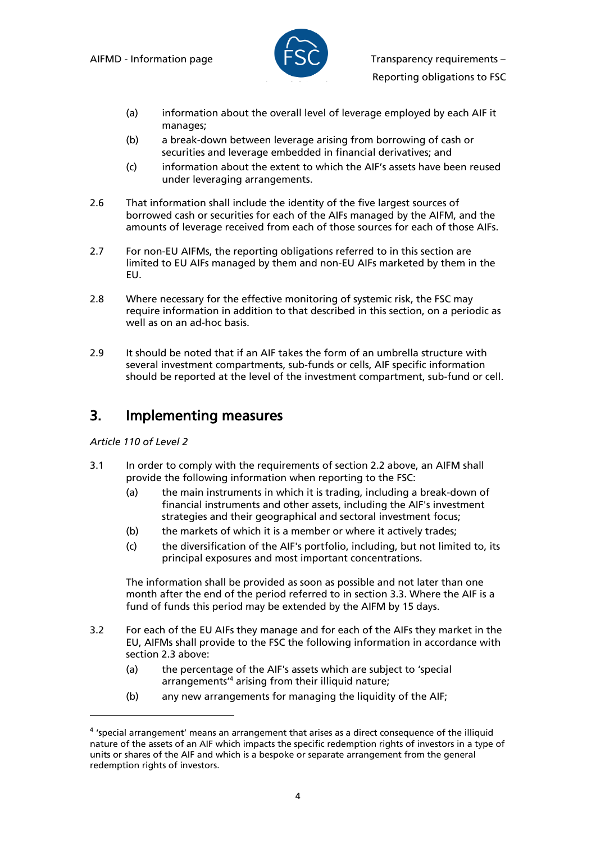

- (a) information about the overall level of leverage employed by each AIF it manages;
- (b) a break-down between leverage arising from borrowing of cash or securities and leverage embedded in financial derivatives; and
- (c) information about the extent to which the AIF's assets have been reused under leveraging arrangements.
- 2.6 That information shall include the identity of the five largest sources of borrowed cash or securities for each of the AIFs managed by the AIFM, and the amounts of leverage received from each of those sources for each of those AIFs.
- 2.7 For non-EU AIFMs, the reporting obligations referred to in this section are limited to EU AIFs managed by them and non-EU AIFs marketed by them in the EU.
- 2.8 Where necessary for the effective monitoring of systemic risk, the FSC may require information in addition to that described in this section, on a periodic as well as on an ad-hoc basis.
- 2.9 It should be noted that if an AIF takes the form of an umbrella structure with several investment compartments, sub-funds or cells, AIF specific information should be reported at the level of the investment compartment, sub-fund or cell.

#### 3. Implementing measures

#### *Article 110 of Level 2*

l

- 3.1 In order to comply with the requirements of section 2.2 above, an AIFM shall provide the following information when reporting to the FSC:
	- (a) the main instruments in which it is trading, including a break-down of financial instruments and other assets, including the AIF's investment strategies and their geographical and sectoral investment focus;
	- (b) the markets of which it is a member or where it actively trades;
	- (c) the diversification of the AIF's portfolio, including, but not limited to, its principal exposures and most important concentrations.

The information shall be provided as soon as possible and not later than one month after the end of the period referred to in section 3.3. Where the AIF is a fund of funds this period may be extended by the AIFM by 15 days.

- 3.2 For each of the EU AIFs they manage and for each of the AIFs they market in the EU, AIFMs shall provide to the FSC the following information in accordance with section 2.3 above:
	- (a) the percentage of the AIF's assets which are subject to 'special arrangements' <sup>4</sup> arising from their illiquid nature;
	- (b) any new arrangements for managing the liquidity of the AIF;

<sup>&</sup>lt;sup>4</sup> 'special arrangement' means an arrangement that arises as a direct consequence of the illiquid nature of the assets of an AIF which impacts the specific redemption rights of investors in a type of units or shares of the AIF and which is a bespoke or separate arrangement from the general redemption rights of investors.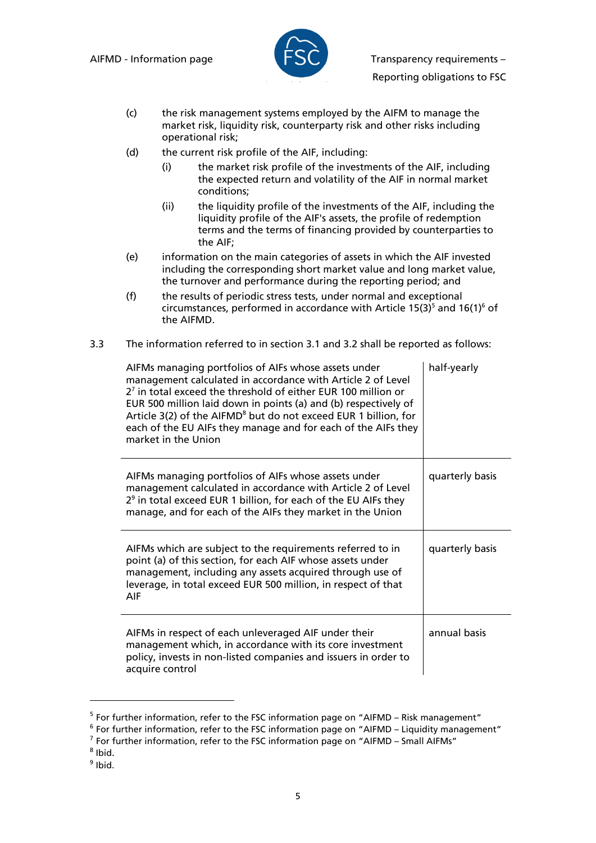

AIFMD - Information page  $\blacksquare$   $\blacksquare$  Transparency requirements –

- Reporting obligations to FSC
- (c) the risk management systems employed by the AIFM to manage the market risk, liquidity risk, counterparty risk and other risks including operational risk;
- (d) the current risk profile of the AIF, including:
	- (i) the market risk profile of the investments of the AIF, including the expected return and volatility of the AIF in normal market conditions;
	- (ii) the liquidity profile of the investments of the AIF, including the liquidity profile of the AIF's assets, the profile of redemption terms and the terms of financing provided by counterparties to the AIF;
- (e) information on the main categories of assets in which the AIF invested including the corresponding short market value and long market value, the turnover and performance during the reporting period; and
- (f) the results of periodic stress tests, under normal and exceptional circumstances, performed in accordance with Article 15(3)<sup>5</sup> and 16(1)<sup>6</sup> of the AIFMD.
- 3.3 The information referred to in section 3.1 and 3.2 shall be reported as follows:

| AIFMs managing portfolios of AIFs whose assets under<br>management calculated in accordance with Article 2 of Level<br>2 <sup>7</sup> in total exceed the threshold of either EUR 100 million or<br>EUR 500 million laid down in points (a) and (b) respectively of<br>Article 3(2) of the AIFMD <sup>8</sup> but do not exceed EUR 1 billion, for<br>each of the EU AIFs they manage and for each of the AIFs they<br>market in the Union | half-yearly     |
|--------------------------------------------------------------------------------------------------------------------------------------------------------------------------------------------------------------------------------------------------------------------------------------------------------------------------------------------------------------------------------------------------------------------------------------------|-----------------|
| AIFMs managing portfolios of AIFs whose assets under<br>management calculated in accordance with Article 2 of Level<br>$29$ in total exceed EUR 1 billion, for each of the EU AIFs they<br>manage, and for each of the AIFs they market in the Union                                                                                                                                                                                       | quarterly basis |
| AIFMs which are subject to the requirements referred to in<br>point (a) of this section, for each AIF whose assets under<br>management, including any assets acquired through use of<br>leverage, in total exceed EUR 500 million, in respect of that<br>AIF                                                                                                                                                                               | quarterly basis |
| AIFMs in respect of each unleveraged AIF under their<br>management which, in accordance with its core investment<br>policy, invests in non-listed companies and issuers in order to<br>acquire control                                                                                                                                                                                                                                     | annual basis    |

<sup>&</sup>lt;sup>5</sup> For further information, refer to the FSC information page on "AIFMD – Risk management"

<sup>8</sup> Ibid.

l

<sup>9</sup> Ibid.

<sup>&</sup>lt;sup>6</sup> For further information, refer to the FSC information page on "AIFMD - Liquidity management"

 $<sup>7</sup>$  For further information, refer to the FSC information page on "AIFMD – Small AIFMs"</sup>